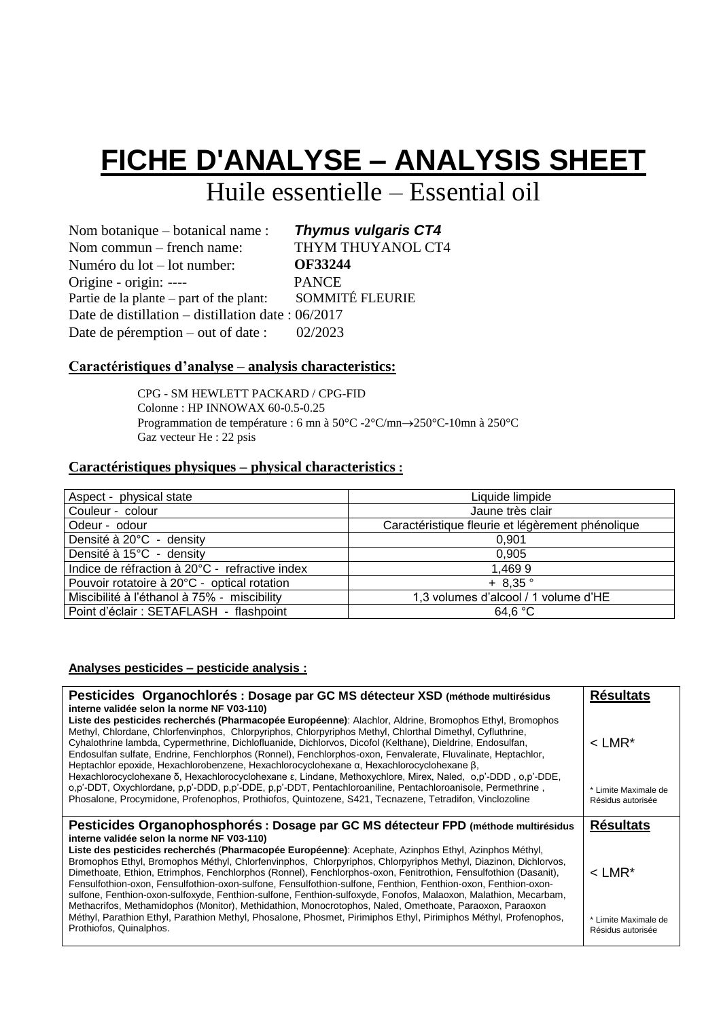# **FICHE D'ANALYSE – ANALYSIS SHEET**

## Huile essentielle – Essential oil

Nom botanique – botanical name : Nom commun – french name: Numéro du lot – lot number: Origine - origin: ---- Partie de la plante – part of the plant: *Thymus vulgaris CT4*  THYM THUYANOL CT4  **OF33244** PANCE SOMMITÉ FLEURIE Date de distillation – distillation date : 06/2017 Date de péremption – out of date : 02/2023

#### **Caractéristiques d'analyse – analysis characteristics:**

CPG - SM HEWLETT PACKARD / CPG-FID Colonne : HP INNOWAX 60-0.5-0.25 Programmation de température : 6 mn à  $50^{\circ}$ C -2°C/mn $\rightarrow$ 250°C-10mn à 250°C Gaz vecteur He : 22 psis

#### **Caractéristiques physiques – physical characteristics :**

| Aspect - physical state                        | Liquide limpide                                  |
|------------------------------------------------|--------------------------------------------------|
| Couleur - colour                               | Jaune très clair                                 |
| Odeur - odour                                  | Caractéristique fleurie et légèrement phénolique |
| Densité à 20°C - density                       | 0.901                                            |
| Densité à 15°C - density                       | 0.905                                            |
| Indice de réfraction à 20°C - refractive index | 1,4699                                           |
| Pouvoir rotatoire à 20°C - optical rotation    | $+8.35$ °                                        |
| Miscibilité à l'éthanol à 75% - miscibility    | 1,3 volumes d'alcool / 1 volume d'HE             |
| Point d'éclair : SETAFLASH - flashpoint        | 64.6 °C                                          |

#### **Analyses pesticides – pesticide analysis :**

| Pesticides Organochlorés : Dosage par GC MS détecteur XSD (méthode multirésidus                                                                                                                                                                                                                                                                                                                                                                                                                                                                                                                                                                                                                                                         | <b>Résultats</b>                          |
|-----------------------------------------------------------------------------------------------------------------------------------------------------------------------------------------------------------------------------------------------------------------------------------------------------------------------------------------------------------------------------------------------------------------------------------------------------------------------------------------------------------------------------------------------------------------------------------------------------------------------------------------------------------------------------------------------------------------------------------------|-------------------------------------------|
| interne validée selon la norme NF V03-110)<br>Liste des pesticides recherchés (Pharmacopée Européenne): Alachlor, Aldrine, Bromophos Ethyl, Bromophos<br>Methyl, Chlordane, Chlorfenvinphos, Chlorpyriphos, Chlorpyriphos Methyl, Chlorthal Dimethyl, Cyfluthrine,<br>Cyhalothrine lambda, Cypermethrine, Dichlofluanide, Dichlorvos, Dicofol (Kelthane), Dieldrine, Endosulfan,<br>Endosulfan sulfate, Endrine, Fenchlorphos (Ronnel), Fenchlorphos-oxon, Fenvalerate, Fluvalinate, Heptachlor,<br>Heptachlor epoxide, Hexachlorobenzene, Hexachlorocyclohexane $\alpha$ , Hexachlorocyclohexane $\beta$ ,<br>Hexachlorocyclohexane δ, Hexachlorocyclohexane ε, Lindane, Methoxychlore, Mirex, Naled, o,p'-DDD, o,p'-DDE,              | $<$ LMR*                                  |
| o,p'-DDT, Oxychlordane, p,p'-DDD, p,p'-DDE, p,p'-DDT, Pentachloroaniline, Pentachloroanisole, Permethrine,<br>Phosalone, Procymidone, Profenophos, Prothiofos, Quintozene, S421, Tecnazene, Tetradifon, Vinclozoline                                                                                                                                                                                                                                                                                                                                                                                                                                                                                                                    | * Limite Maximale de<br>Résidus autorisée |
| Pesticides Organophosphorés : Dosage par GC MS détecteur FPD (méthode multirésidus                                                                                                                                                                                                                                                                                                                                                                                                                                                                                                                                                                                                                                                      | <b>Résultats</b>                          |
| interne validée selon la norme NF V03-110)<br>Liste des pesticides recherchés (Pharmacopée Européenne): Acephate, Azinphos Ethyl, Azinphos Méthyl,<br>Bromophos Ethyl, Bromophos Méthyl, Chlorfenvinphos, Chlorpyriphos, Chlorpyriphos Methyl, Diazinon, Dichlorvos,<br>Dimethoate, Ethion, Etrimphos, Fenchlorphos (Ronnel), Fenchlorphos-oxon, Fenitrothion, Fensulfothion (Dasanit),<br>Fensulfothion-oxon, Fensulfothion-oxon-sulfone, Fensulfothion-sulfone, Fenthion, Fenthion-oxon, Fenthion-oxon-<br>sulfone, Fenthion-oxon-sulfoxyde, Fenthion-sulfone, Fenthion-sulfoxyde, Fonofos, Malaoxon, Malathion, Mecarbam,<br>Methacrifos, Methamidophos (Monitor), Methidathion, Monocrotophos, Naled, Omethoate, Paraoxon, Paraoxon | $<$ LMR*                                  |
| Méthyl, Parathion Ethyl, Parathion Methyl, Phosalone, Phosmet, Pirimiphos Ethyl, Pirimiphos Méthyl, Profenophos,<br>Prothiofos, Quinalphos.                                                                                                                                                                                                                                                                                                                                                                                                                                                                                                                                                                                             | * Limite Maximale de                      |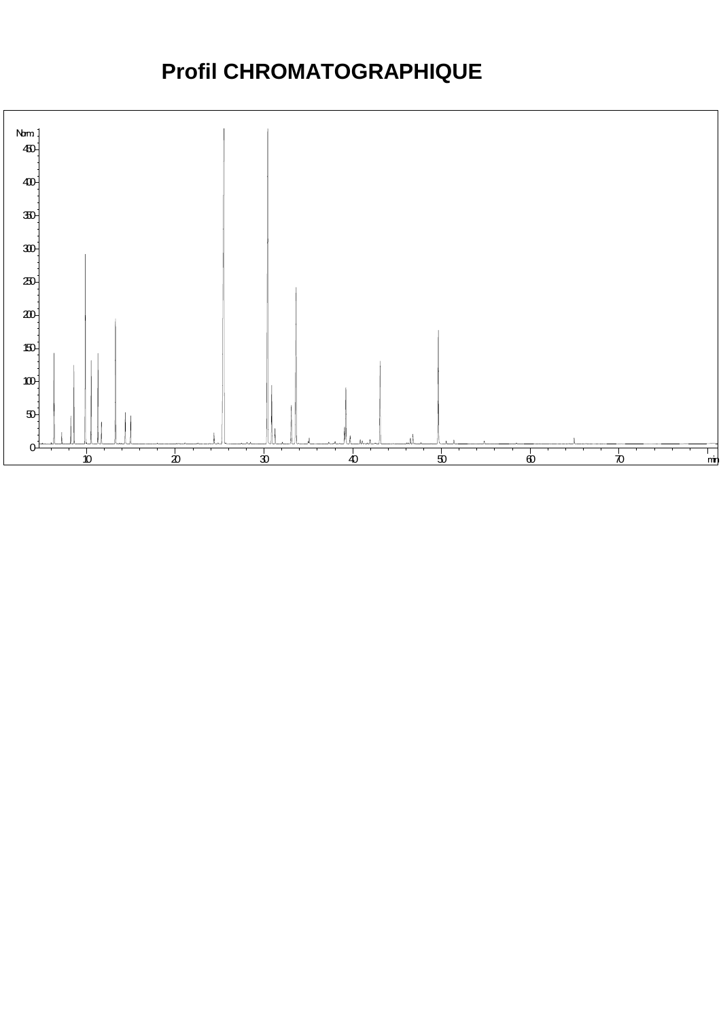### **Profil CHROMATOGRAPHIQUE**

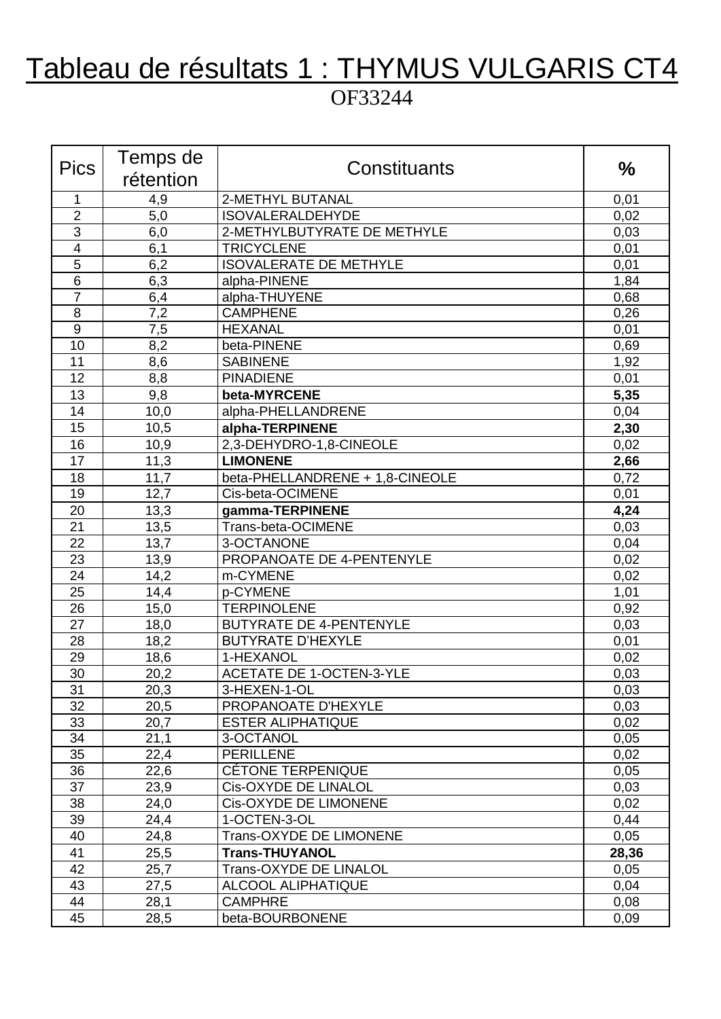### Tableau de résultats 1 : THYMUS VULGARIS CT4 OF33244

| <b>Pics</b>             | Temps de   | Constituants                                | $\frac{0}{0}$ |
|-------------------------|------------|---------------------------------------------|---------------|
|                         | rétention  |                                             |               |
| 1<br>$\overline{2}$     | 4,9<br>5,0 | 2-METHYL BUTANAL<br><b>ISOVALERALDEHYDE</b> | 0,01<br>0,02  |
| $\overline{3}$          | 6,0        | 2-METHYLBUTYRATE DE METHYLE                 | 0,03          |
| $\overline{\mathbf{4}}$ | 6,1        | <b>TRICYCLENE</b>                           | 0,01          |
| 5                       | 6,2        | <b>ISOVALERATE DE METHYLE</b>               | 0,01          |
| $6\phantom{1}6$         | 6,3        | alpha-PINENE                                | 1,84          |
| $\overline{7}$          | 6,4        | alpha-THUYENE                               | 0,68          |
| 8                       | 7,2        | <b>CAMPHENE</b>                             | 0,26          |
| 9                       | 7,5        | <b>HEXANAL</b>                              | 0,01          |
| 10                      | 8,2        | beta-PINENE                                 | 0,69          |
| 11                      | 8,6        | <b>SABINENE</b>                             | 1,92          |
| 12                      | 8,8        | <b>PINADIENE</b>                            | 0,01          |
| 13                      | 9,8        | beta-MYRCENE                                | 5,35          |
| 14                      | 10,0       | alpha-PHELLANDRENE                          | 0,04          |
| 15                      | 10,5       | alpha-TERPINENE                             | 2,30          |
| 16                      | 10,9       | 2,3-DEHYDRO-1,8-CINEOLE                     | 0,02          |
| 17                      | 11,3       | <b>LIMONENE</b>                             | 2,66          |
| 18                      | 11,7       | beta-PHELLANDRENE + 1,8-CINEOLE             | 0,72          |
| 19                      | 12,7       | Cis-beta-OCIMENE                            | 0,01          |
| 20                      | 13,3       | gamma-TERPINENE                             | 4,24          |
| 21                      | 13,5       | Trans-beta-OCIMENE                          | 0,03          |
| 22                      | 13,7       | 3-OCTANONE                                  | 0,04          |
| 23                      | 13,9       | PROPANOATE DE 4-PENTENYLE                   | 0,02          |
| 24                      | 14,2       | m-CYMENE                                    | 0,02          |
| 25                      | 14,4       | p-CYMENE                                    | 1,01          |
| $\overline{26}$         | 15,0       | <b>TERPINOLENE</b>                          | 0,92          |
| 27                      | 18,0       | <b>BUTYRATE DE 4-PENTENYLE</b>              | 0,03          |
| 28                      | 18,2       | <b>BUTYRATE D'HEXYLE</b>                    | 0,01          |
| 29                      | 18,6       | 1-HEXANOL                                   | 0,02          |
| 30                      | 20,2       | <b>ACETATE DE 1-OCTEN-3-YLE</b>             | 0,03          |
| 31                      | 20,3       | 3-HEXEN-1-OL                                | 0,03          |
| 32                      | 20,5       | PROPANOATE D'HEXYLE                         | 0,03          |
| 33                      | 20,7       | <b>ESTER ALIPHATIQUE</b>                    | 0,02          |
| 34                      | 21,1       | 3-OCTANOL                                   | 0,05          |
| 35                      | 22,4       | <b>PERILLENE</b>                            | 0,02          |
| 36                      | 22,6       | <b>CÉTONE TERPENIQUE</b>                    | 0,05          |
| 37                      | 23,9       | Cis-OXYDE DE LINALOL                        | 0,03          |
| 38                      | 24,0       | <b>Cis-OXYDE DE LIMONENE</b>                | 0,02          |
| 39                      | 24,4       | 1-OCTEN-3-OL                                | 0,44          |
| 40                      | 24,8       | <b>Trans-OXYDE DE LIMONENE</b>              | 0,05          |
| 41                      | 25,5       | <b>Trans-THUYANOL</b>                       | 28,36         |
| 42                      | 25,7       | <b>Trans-OXYDE DE LINALOL</b>               | 0,05          |
| 43                      | 27,5       | ALCOOL ALIPHATIQUE                          | 0,04          |
| 44                      | 28,1       | <b>CAMPHRE</b>                              | 0,08          |
| 45                      | 28,5       | beta-BOURBONENE                             | 0,09          |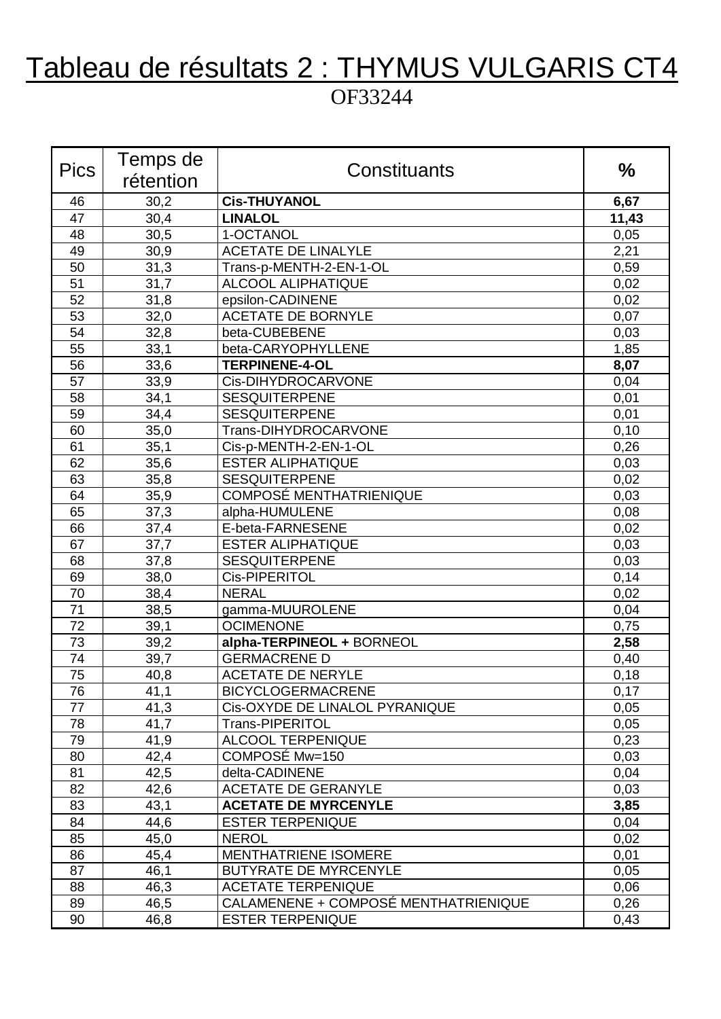## Tableau de résultats 2 : THYMUS VULGARIS CT4

#### OF33244

| <b>Pics</b> | Temps de  |                                      |       |
|-------------|-----------|--------------------------------------|-------|
|             | rétention | Constituants                         | $\%$  |
| 46          | 30,2      | <b>Cis-THUYANOL</b>                  | 6,67  |
| 47          | 30,4      | <b>LINALOL</b>                       | 11,43 |
| 48          | 30,5      | 1-OCTANOL                            | 0,05  |
| 49          | 30,9      | <b>ACETATE DE LINALYLE</b>           | 2,21  |
| 50          | 31,3      | Trans-p-MENTH-2-EN-1-OL              | 0,59  |
| 51          | 31,7      | <b>ALCOOL ALIPHATIQUE</b>            | 0,02  |
| 52          | 31,8      | epsilon-CADINENE                     | 0,02  |
| 53          | 32,0      | <b>ACETATE DE BORNYLE</b>            | 0,07  |
| 54          | 32,8      | beta-CUBEBENE                        | 0,03  |
| 55          | 33,1      | beta-CARYOPHYLLENE                   | 1,85  |
| 56          | 33,6      | <b>TERPINENE-4-OL</b>                | 8,07  |
| 57          | 33,9      | Cis-DIHYDROCARVONE                   | 0,04  |
| 58          | 34,1      | <b>SESQUITERPENE</b>                 | 0,01  |
| 59          | 34,4      | <b>SESQUITERPENE</b>                 | 0,01  |
| 60          | 35,0      | Trans-DIHYDROCARVONE                 | 0,10  |
| 61          | 35,1      | Cis-p-MENTH-2-EN-1-OL                | 0,26  |
| 62          | 35,6      | <b>ESTER ALIPHATIQUE</b>             | 0,03  |
| 63          | 35,8      | <b>SESQUITERPENE</b>                 | 0,02  |
| 64          | 35,9      | <b>COMPOSÉ MENTHATRIENIQUE</b>       | 0,03  |
| 65          | 37,3      | alpha-HUMULENE                       | 0,08  |
| 66          | 37,4      | E-beta-FARNESENE                     | 0,02  |
| 67          | 37,7      | <b>ESTER ALIPHATIQUE</b>             | 0,03  |
| 68          | 37,8      | <b>SESQUITERPENE</b>                 | 0,03  |
| 69          | 38,0      | Cis-PIPERITOL                        | 0,14  |
| 70          | 38,4      | <b>NERAL</b>                         | 0,02  |
| 71          | 38,5      | gamma-MUUROLENE                      | 0,04  |
| 72          | 39,1      | <b>OCIMENONE</b>                     | 0,75  |
| 73          | 39,2      | alpha-TERPINEOL + BORNEOL            | 2,58  |
| 74          | 39,7      | <b>GERMACRENE D</b>                  | 0,40  |
| 75          | 40,8      | <b>ACETATE DE NERYLE</b>             | 0,18  |
| 76          | 41,1      | <b>BICYCLOGERMACRENE</b>             | 0,17  |
| 77          | 41,3      | Cis-OXYDE DE LINALOL PYRANIQUE       | 0,05  |
| 78          | 41,7      | Trans-PIPERITOL                      | 0,05  |
| 79          | 41,9      | ALCOOL TERPENIQUE                    | 0,23  |
| 80          | 42,4      | COMPOSÉ Mw=150                       | 0,03  |
| 81          | 42,5      | delta-CADINENE                       | 0,04  |
| 82          | 42,6      | <b>ACETATE DE GERANYLE</b>           | 0,03  |
| 83          | 43,1      | <b>ACETATE DE MYRCENYLE</b>          | 3,85  |
| 84          | 44,6      | <b>ESTER TERPENIQUE</b>              | 0,04  |
| 85          | 45,0      | <b>NEROL</b>                         | 0,02  |
| 86          | 45,4      | <b>MENTHATRIENE ISOMERE</b>          | 0,01  |
| 87          | 46,1      | <b>BUTYRATE DE MYRCENYLE</b>         | 0,05  |
| 88          | 46,3      | <b>ACETATE TERPENIQUE</b>            | 0,06  |
| 89          | 46,5      | CALAMENENE + COMPOSÉ MENTHATRIENIQUE | 0,26  |
| 90          | 46,8      | <b>ESTER TERPENIQUE</b>              | 0,43  |